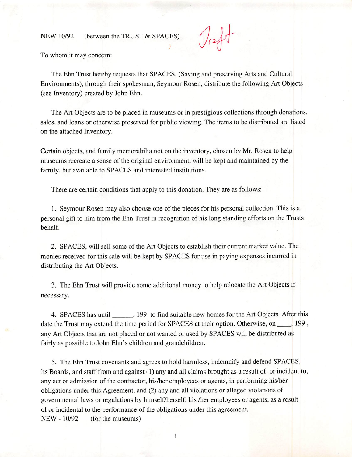## NEW 10/92 (between the TRUST & SPACES)

To whom it may concern:

The Ehn Trust hereby requests that SPACES, (Saving and preserving Arts and Cultural Environments), through their spokesman, Seymour Rosen, distribute the following Art Objects (see Inventory) created by John Ehn.

The Art Objects are to be placed in museums or in prestigious collections through donations, sales, and loans or otherwise preserved for public viewing. The items to be distributed are listed on the attached Inventory.

Certain objects, and family memorabilia not on the inventory, chosen by Mr. Rosen to help museums recreate a sense of the original environment, will be kept and maintained by the family, but available to SPACES and interested institutions.

There are certain conditions that apply to this donation. They are as follows:

1. Seymour Rosen may also choose one of the pieces for his personal collection. This is a personal gift to him from the Ehn Trust in recognition of his long standing efforts on the Trusts behalf.

2. SPACES, will sell some of the Art Objects to establish their cuirent market value. The monies received for this sale will be kept by SPACES for use in paying expenses incurred in distributing the Art Objects.

3. The Ehn Trust will provide some additional money to help relocate the Art Objects if necessary.

4. SPACES has until \_\_\_\_\_\_\_, 199 to find suitable new homes for the Art Objects. After this date the Trust may extend the time period for SPACES at their option. Otherwise, on  $\_\_\_\_$ , 199, any Art Objects that are not placed or not wanted or used by SPACES will be distributed as fairly as possible to John Ehn's children and grandchildren.

5. The Ehn Trust covenants and agrees to hold harmless, indemnify and defend SPACES, its Boards, and staff from and against (1) any and all claims brought as a result of, or incident to, any act or admission of the contractor, his/her employees or agents, in performing his/her obligations under this Agreement, and (2) any and all violations or alleged violations of governmental laws or regulations by himself/herself, his /her employees or agents, as a result of or incidental to the performance of the obligations under this agreement. NEW - 10/92 (for the museums)